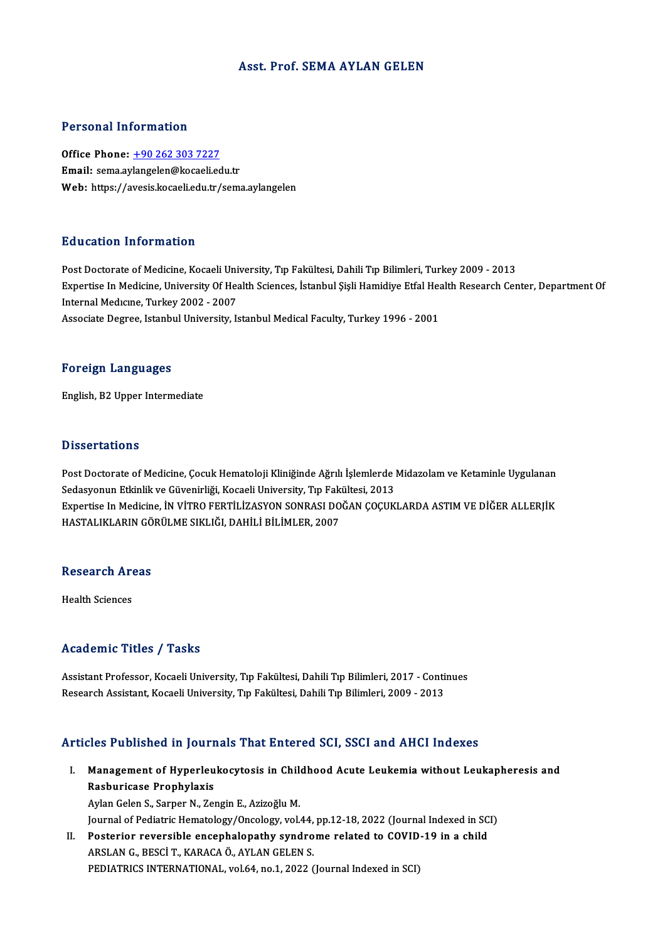### Asst. Prof. SEMA AYLAN GELEN

### Personal Information

Office Phone: +90 262 303 7227 Email: sema.ay[langelen@kocaeli.ed](tel:+90 262 303 7227)u.tr Web: https://avesis.kocaeli.edu.tr/sema.aylangelen

### Education Information

Post Doctorate of Medicine, Kocaeli University, Tıp Fakültesi, Dahili Tıp Bilimleri, Turkey 2009 - 2013 Eu d'oderon Throf Inderon<br>Post Doctorate of Medicine, Kocaeli University, Tıp Fakültesi, Dahili Tıp Bilimleri, Turkey 2009 - 2013<br>Expertise In Medicine, University Of Health Sciences, İstanbul Şişli Hamidiye Etfal Health R Post Doctorate of Medicine, Kocaeli Uni<br>Expertise In Medicine, University Of Hea<br>Internal Medicine, Turkey 2002 - 2007<br>Associate Degree, Istanbul University, Is Expertise In Medicine, University Of Health Sciences, İstanbul Şişli Hamidiye Etfal Hea<br>Internal Medicine, Turkey 2002 - 2007<br>Associate Degree, Istanbul University, Istanbul Medical Faculty, Turkey 1996 - 2001 Associate Degree, Istanbul University, Istanbul Medical Faculty, Turkey 1996 - 2001<br>Foreign Languages

English,B2Upper Intermediate

#### **Dissertations**

Post Doctorate of Medicine, Çocuk Hematoloji Kliniğinde Ağrılı İşlemlerde Midazolam ve Ketaminle Uygulanan Susser carrens<br>Post Doctorate of Medicine, Çocuk Hematoloji Kliniğinde Ağrılı İşlemlerde |<br>Sedasyonun Etkinlik ve Güvenirliği, Kocaeli University, Tıp Fakültesi, 2013<br>Evnertise In Medicine, İN VİTPO EEPTİL İZASYON SONPASLD Expertise In Medicine, İN VİTRO FERTİLİZASYON SONRASI DOĞAN ÇOÇUKLARDA ASTIM VE DİĞER ALLERJİK<br>HASTALIKLARIN GÖRÜLME SIKLIĞI, DAHİLİ BİLİMLER, 2007 Sedasyonun Etkinlik ve Güvenirliği, Kocaeli University, Tıp Fak<br>Expertise In Medicine, İN VİTRO FERTİLİZASYON SONRASI DO<br>HASTALIKLARIN GÖRÜLME SIKLIĞI, DAHİLİ BİLİMLER, 2007

## nastaliklakin Go<br>Research Areas R<mark>esearch Ar</mark><br>Health Sciences

# Academic Titles / Tasks

Academic Titles / Tasks<br>Assistant Professor, Kocaeli University, Tıp Fakültesi, Dahili Tıp Bilimleri, 2017 - Continues<br>Besearsh Assistant Kosaeli University, Tıp Fakültesi, Dahili Tıp Bilimleri, 2009 - 2012 rseau enne "rrese", "rasne<br>Assistant Professor, Kocaeli University, Tıp Fakültesi, Dahili Tıp Bilimleri, 2017 - Conti<br>Research Assistant, Kocaeli University, Tıp Fakültesi, Dahili Tıp Bilimleri, 2009 - 2013

# Research Assistant, Kocaeli University, Tıp Fakültesi, Dahili Tıp Bilimleri, 2009 - 2013<br>Articles Published in Journals That Entered SCI, SSCI and AHCI Indexes

rticles Published in Journals That Entered SCI, SSCI and AHCI Indexes<br>I. Management of Hyperleukocytosis in Childhood Acute Leukemia without Leukapheresis and<br>Rechyricese Prephylavie Management of Hyperleu<br>Rasburicase Prophylaxis<br>Avlan Colan S. Samon N. Zou Rasburicase Prophylaxis<br>Aylan Gelen S., Sarper N., Zengin E., Azizoğlu M.

Rasburicase Prophylaxis<br>Aylan Gelen S., Sarper N., Zengin E., Azizoğlu M.<br>Journal of Pediatric Hematology/Oncology, vol.44, pp.12-18, 2022 (Journal Indexed in SCI)<br>Pesterier reversible ensephalenathy syndrome related to CO Aylan Gelen S., Sarper N., Zengin E., Azizoğlu M.<br>Journal of Pediatric Hematology/Oncology, vol.44, pp.12-18, 2022 (Journal Indexed in SC<br>II. Posterior reversible encephalopathy syndrome related to COVID-19 in a child<br>APSL

Journal of Pediatric Hematology/Oncology, vol.44,<br>Posterior reversible encephalopathy syndro<br>ARSLAN G., BESCİT., KARACA Ö., AYLAN GELEN S.<br>PEDIATRICS INTERNATIONAL, vol.64, po.1, 2022.0 Posterior reversible encephalopathy syndrome related to COVID<br>ARSLAN G., BESCİ T., KARACA Ö., AYLAN GELEN S.<br>PEDIATRICS INTERNATIONAL, vol.64, no.1, 2022 (Journal Indexed in SCI)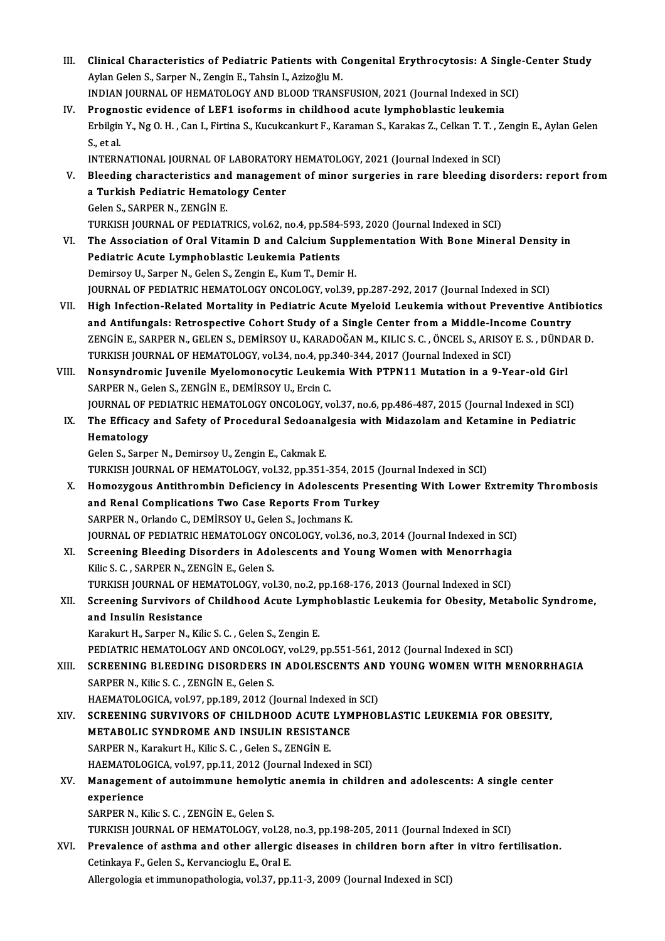| III.  | Clinical Characteristics of Pediatric Patients with Congenital Erythrocytosis: A Single-Center Study                     |
|-------|--------------------------------------------------------------------------------------------------------------------------|
|       | Aylan Gelen S., Sarper N., Zengin E., Tahsin I., Azizoğlu M.                                                             |
|       | INDIAN JOURNAL OF HEMATOLOGY AND BLOOD TRANSFUSION, 2021 (Journal Indexed in SCI)                                        |
| IV.   | Prognostic evidence of LEF1 isoforms in childhood acute lymphoblastic leukemia                                           |
|       | Erbilgin Y., Ng O. H., Can I., Firtina S., Kucukcankurt F., Karaman S., Karakas Z., Celkan T. T., Zengin E., Aylan Gelen |
|       | S, et al.                                                                                                                |
|       | INTERNATIONAL JOURNAL OF LABORATORY HEMATOLOGY, 2021 (Journal Indexed in SCI)                                            |
| v.    | Bleeding characteristics and management of minor surgeries in rare bleeding disorders: report from                       |
|       | a Turkish Pediatric Hematology Center                                                                                    |
|       | Gelen S., SARPER N., ZENGIN E.                                                                                           |
|       | TURKISH JOURNAL OF PEDIATRICS, vol.62, no.4, pp.584-593, 2020 (Journal Indexed in SCI)                                   |
| VI.   | The Association of Oral Vitamin D and Calcium Supplementation With Bone Mineral Density in                               |
|       | Pediatric Acute Lymphoblastic Leukemia Patients                                                                          |
|       | Demirsoy U., Sarper N., Gelen S., Zengin E., Kum T., Demir H.                                                            |
|       | JOURNAL OF PEDIATRIC HEMATOLOGY ONCOLOGY, vol.39, pp.287-292, 2017 (Journal Indexed in SCI)                              |
| VII.  | High Infection-Related Mortality in Pediatric Acute Myeloid Leukemia without Preventive Antibiotics                      |
|       | and Antifungals: Retrospective Cohort Study of a Single Center from a Middle-Income Country                              |
|       | ZENGÍN E., SARPER N., GELEN S., DEMÍRSOY U., KARADOĞAN M., KILIC S. C. , ÖNCEL S., ARISOY E. S. , DÜNDAR D.              |
|       | TURKISH JOURNAL OF HEMATOLOGY, vol.34, no.4, pp.340-344, 2017 (Journal Indexed in SCI)                                   |
| VIII. | Nonsyndromic Juvenile Myelomonocytic Leukemia With PTPN11 Mutation in a 9-Year-old Girl                                  |
|       | SARPER N., Gelen S., ZENGİN E., DEMİRSOY U., Ercin C.                                                                    |
|       | JOURNAL OF PEDIATRIC HEMATOLOGY ONCOLOGY, vol.37, no.6, pp.486-487, 2015 (Journal Indexed in SCI)                        |
| IX.   | The Efficacy and Safety of Procedural Sedoanalgesia with Midazolam and Ketamine in Pediatric                             |
|       | Hematology                                                                                                               |
|       | Gelen S., Sarper N., Demirsoy U., Zengin E., Cakmak E.                                                                   |
|       | TURKISH JOURNAL OF HEMATOLOGY, vol.32, pp.351-354, 2015 (Journal Indexed in SCI)                                         |
| X.    | Homozygous Antithrombin Deficiency in Adolescents Presenting With Lower Extremity Thrombosis                             |
|       | and Renal Complications Two Case Reports From Turkey                                                                     |
|       | SARPER N., Orlando C., DEMIRSOY U., Gelen S., Jochmans K.                                                                |
|       | JOURNAL OF PEDIATRIC HEMATOLOGY ONCOLOGY, vol.36, no.3, 2014 (Journal Indexed in SCI)                                    |
| XI.   | Screening Bleeding Disorders in Adolescents and Young Women with Menorrhagia                                             |
|       | Kilic S. C., SARPER N., ZENGIN E., Gelen S.                                                                              |
|       | TURKISH JOURNAL OF HEMATOLOGY, vol.30, no.2, pp.168-176, 2013 (Journal Indexed in SCI)                                   |
| XII.  | Screening Survivors of Childhood Acute Lymphoblastic Leukemia for Obesity, Metabolic Syndrome,                           |
|       | and Insulin Resistance                                                                                                   |
|       | Karakurt H., Sarper N., Kilic S. C., Gelen S., Zengin E.                                                                 |
|       | PEDIATRIC HEMATOLOGY AND ONCOLOGY, vol.29, pp.551-561, 2012 (Journal Indexed in SCI)                                     |
| XIII. | SCREENING BLEEDING DISORDERS IN ADOLESCENTS AND YOUNG WOMEN WITH MENORRHAGIA                                             |
|       | SARPER N., Kilic S. C., ZENGIN E., Gelen S.                                                                              |
|       | HAEMATOLOGICA, vol 97, pp.189, 2012 (Journal Indexed in SCI)                                                             |
| XIV.  | SCREENING SURVIVORS OF CHILDHOOD ACUTE LYMPHOBLASTIC LEUKEMIA FOR OBESITY,<br>METABOLIC SYNDROME AND INSULIN RESISTANCE  |
|       | SARPER N., Karakurt H., Kilic S. C., Gelen S., ZENGİN E.                                                                 |
|       | HAEMATOLOGICA, vol.97, pp.11, 2012 (Journal Indexed in SCI)                                                              |
| XV.   | Management of autoimmune hemolytic anemia in children and adolescents: A single center                                   |
|       | experience                                                                                                               |
|       | SARPER N., Kilic S. C., ZENGIN E., Gelen S.                                                                              |
|       | TURKISH JOURNAL OF HEMATOLOGY, vol.28, no.3, pp.198-205, 2011 (Journal Indexed in SCI)                                   |
| XVI.  | Prevalence of asthma and other allergic diseases in children born after in vitro fertilisation.                          |
|       | Cetinkaya F., Gelen S., Kervancioglu E., Oral E.                                                                         |
|       | Allergologia et immunopathologia, vol.37, pp.11-3, 2009 (Journal Indexed in SCI)                                         |
|       |                                                                                                                          |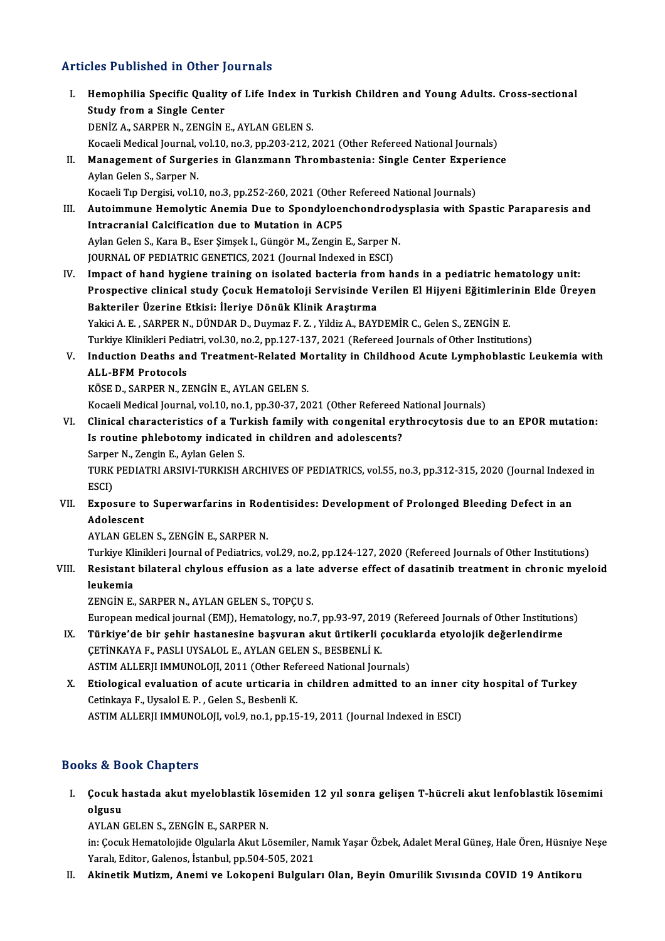### Articles Published in Other Journals

- rticles Published in Other Journals<br>I. Hemophilia Specific Quality of Life Index in Turkish Children and Young Adults. Cross-sectional<br>Study from a Single Center Study from a Single Center<br>Study from a Single Center<br>DENIZ A SARDER N. ZENCIN I Study from a Single Center<br>DENİZ A., SARPER N., ZENGİN E., AYLAN GELEN S. Kocaeli Medical Journal, vol.10, no.3, pp.203-212, 2021 (Other Refereed National Journals) DENİZ A., SARPER N., ZENGİN E., AYLAN GELEN S.<br>Kocaeli Medical Journal, vol.10, no.3, pp.203-212, 2021 (Other Refereed National Journals)<br>II. Management of Surgeries in Glanzmann Thrombastenia: Single Center Experience<br>Ayl Kocaeli Medical Journal,<br>Management of Surge:<br>Aylan Gelen S., Sarper N.<br>Kosaeli Trp Dersisi, vol 1. Aylan Gelen S., Sarper N.<br>Kocaeli Tıp Dergisi, vol.10, no.3, pp.252-260, 2021 (Other Refereed National Journals) Aylan Gelen S., Sarper N.<br>Kocaeli Tıp Dergisi, vol.10, no.3, pp.252-260, 2021 (Other Refereed National Journals)<br>III. Autoimmune Hemolytic Anemia Due to Spondyloenchondrodysplasia with Spastic Paraparesis and<br>Intracrap Kocaeli Tıp Dergisi, vol.10, no.3, pp.252-260, 2021 (Other<br>Autoimmune Hemolytic Anemia Due to Spondyloer<br>Intracranial Calcification due to Mutation in ACP5<br>Avlan Colan S. Kara B. Feer Simeek L. Güngön M. Zangin Autoimmune Hemolytic Anemia Due to Spondyloenchondrody<br>Intracranial Calcification due to Mutation in ACP5<br>Aylan Gelen S., Kara B., Eser Şimşek I., Güngör M., Zengin E., Sarper N.<br>JOUPMAL OF PEDIATPIC CENETICS 2021 (Journal Intracranial Calcification due to Mutation in ACP5<br>Aylan Gelen S., Kara B., Eser Şimşek I., Güngör M., Zengin E., Sarper N.<br>JOURNAL OF PEDIATRIC GENETICS, 2021 (Journal Indexed in ESCI) IV. Impact of hand hygiene training on isolated bacteria fromhands in a pediatric hematology unit: JOURNAL OF PEDIATRIC GENETICS, 2021 (Journal Indexed in ESCI)<br>Impact of hand hygiene training on isolated bacteria from hands in a pediatric hematology unit:<br>Prospective clinical study Çocuk Hematoloji Servisinde Verilen E Impact of hand hygiene training on isolated bacteria from<br>Prospective clinical study Çocuk Hematoloji Servisinde V<br>Bakteriler Üzerine Etkisi: İleriye Dönük Klinik Araştırma<br>Vakisi A. E. SARRER N. DÜNDAR D. Duymaz E.Z., Vil Prospective clinical study Çocuk Hematoloji Servisinde Verilen El Hijyeni Eğitimler<br>Bakteriler Üzerine Etkisi: İleriye Dönük Klinik Araştırma<br>Yakici A.E., SARPER N., DÜNDAR D., Duymaz F. Z. , Yildiz A., BAYDEMİR C., Gelen Bakteriler Üzerine Etkisi: İleriye Dönük Klinik Araştırma<br>Yakici A. E. , SARPER N., DÜNDAR D., Duymaz F. Z. , Yildiz A., BAYDEMİR C., Gelen S., ZENGİN E.<br>Turkiye Klinikleri Pediatri, vol.30, no.2, pp.127-137, 2021 (Referee Yakici A. E. , SARPER N., DÜNDAR D., Duymaz F. Z. , Yildiz A., BAYDEMİR C., Gelen S., ZENGİN E.<br>Turkiye Klinikleri Pediatri, vol.30, no.2, pp.127-137, 2021 (Refereed Journals of Other Institutions)<br>V. Induction Deaths **Turkiye Klinikleri Pedi**<br>Induction Deaths an<br>ALL-BFM Protocols<br><sup>VÖCE D. SAPPEP N. 71</sup> Induction Deaths and Treatment-Related M<br>ALL-BFM Protocols<br>KÖSE D., SARPER N., ZENGİN E., AYLAN GELEN S.<br>Kosaali Medisal Jaurnal val 10 no 1 nn 20 27, 20 ALL-BFM Protocols<br>KÖSE D., SARPER N., ZENGİN E., AYLAN GELEN S.<br>Kocaeli Medical Journal, vol.10, no.1, pp.30-37, 2021 (Other Refereed National Journals) KÖSE D., SARPER N., ZENGİN E., AYLAN GELEN S.<br>Kocaeli Medical Journal, vol.10, no.1, pp.30-37, 2021 (Other Refereed National Journals)<br>VI. Clinical characteristics of a Turkish family with congenital erythrocytosis due to Kocaeli Medical Journal, vol.10, no.1, pp.30-37, 2021 (Other Refereed )<br>Clinical characteristics of a Turkish family with congenital ery<br>Is routine phlebotomy indicated in children and adolescents?<br>Sarner N. Zangin E. Ayla Clinical characteristics of a Turk<br>Is routine phlebotomy indicate<br>Sarper N., Zengin E., Aylan Gelen S.<br>TURE REDIATRI ARSIM TURESEL 4 Is routine phlebotomy indicated in children and adolescents?<br>Sarper N., Zengin E., Aylan Gelen S.<br>TURK PEDIATRI ARSIVI-TURKISH ARCHIVES OF PEDIATRICS, vol.55, no.3, pp.312-315, 2020 (Journal Indexed in<br>ESCD Sarper<br>TURK<br>ESCI)<br>Eunes TURK PEDIATRI ARSIVI-TURKISH ARCHIVES OF PEDIATRICS, vol.55, no.3, pp.312-315, 2020 (Journal Indexe<br>ESCI)<br>VII. Exposure to Superwarfarins in Rodentisides: Development of Prolonged Bleeding Defect in an ESCI)<br>Exposure to<br>Adolescent<br>AVI AN CELE Exposure to Superwarfarins in Rod<br>Adolescent<br>AYLAN GELEN S., ZENGİN E., SARPER N.<br>Turkiye Klinikleri Journal of Bediatrics y Adolescent<br>AYLAN GELEN S., ZENGİN E., SARPER N.<br>Turkiye Klinikleri Journal of Pediatrics, vol.29, no.2, pp.124-127, 2020 (Refereed Journals of Other Institutions) AYLAN GELEN S., ZENGIN E., SARPER N.<br>Turkiye Klinikleri Journal of Pediatrics, vol.29, no.2, pp.124-127, 2020 (Refereed Journals of Other Institutions)<br>VIII. Resistant bilateral chylous effusion as a late adverse effect of Turkiye Kli<br><mark>Resistant</mark><br>leukemia<br>zencin e Resistant bilateral chylous effusion as a late<br>leukemia<br>ZENGİN E., SARPER N., AYLAN GELEN S., TOPÇU S.<br>European medical journal (EMI), Hematelegy, ne leukemia<br>ZENGİN E., SARPER N., AYLAN GELEN S., TOPÇU S.<br>European medical journal (EMJ), Hematology, no.7, pp.93-97, 2019 (Refereed Journals of Other Institutions) ZENGİN E., SARPER N., AYLAN GELEN S., TOPÇU S.<br>European medical journal (EMJ), Hematology, no.7, pp.93-97, 2019 (Refereed Journals of Other Institution<br>IX. Türkiye'de bir şehir hastanesine başvuran akut ürtikerli çocuklard European medical journal (EMJ), Hematology, no.7, pp.93-97, 201<br>Türkiye'de bir şehir hastanesine başvuran akut ürtikerli ç<br>ÇETİNKAYA F., PASLI UYSALOL E., AYLAN GELEN S., BESBENLİ K.<br>ASTIM ALLERILIMMINOLOU. 2011. (Other Be Türkiye'de bir şehir hastanesine başvuran akut ürtikerli çocukl<br>ÇETİNKAYA F., PASLI UYSALOL E., AYLAN GELEN S., BESBENLİ K.<br>ASTIM ALLERJI IMMUNOLOJI, 2011 (Other Refereed National Journals)<br>Ftialogisal evaluation of qeute CETINKAYA F., PASLI UYSALOL E., AYLAN GELEN S., BESBENLI K.<br>ASTIM ALLERJI IMMUNOLOJI, 2011 (Other Refereed National Journals)<br>X. Etiological evaluation of acute urticaria in children admitted to an inner city hospital of T ASTIM ALLERJI IMMUNOLOJI, 2011 (Other Ref<br>Etiological evaluation of acute urticaria in<br>Cetinkaya F., Uysalol E. P. , Gelen S., Besbenli K.<br>ASTIM ALLERIJ IMMUNOLOU vol.9 no.1 nn.15 ASTIM ALLERJI IMMUNOLOJI, vol.9, no.1, pp.15-19, 2011 (Journal Indexed in ESCI) Books&Book Chapters ooks & Book Chapters<br>I. Çocuk hastada akut myeloblastik lösemiden 12 yıl sonra gelişen T-hücreli akut lenfoblastik lösemimi<br>Algusu
	- Collection<br>Collections<br>Collections<br>Collections

olgusu<br>AYLAN GELEN S., ZENGİN E., SARPER N.

**olgusu**<br>AYLAN GELEN S., ZENGİN E., SARPER N.<br>in: Çocuk Hematolojide Olgularla Akut Lösemiler, Namık Yaşar Özbek, Adalet Meral Güneş, Hale Ören, Hüsniye Neşe<br>Yaralı, Editar, Calanes, İstanbul, np.504,505,2021 AYLAN GELEN S., ZENGİN E., SARPER N.<br>in: Çocuk Hematolojide Olgularla Akut Lösemiler, N.<br>Yaralı, Editor, Galenos, İstanbul, pp.504-505, 2021<br>Akinetik Mutiam, Anemi ve Lokeneni, Bulaule.

Yaralı, Editor, Galenos, İstanbul, pp.504-505, 2021<br>II. Akinetik Mutizm, Anemi ve Lokopeni Bulguları Olan, Beyin Omurilik Sıvısında COVID 19 Antikoru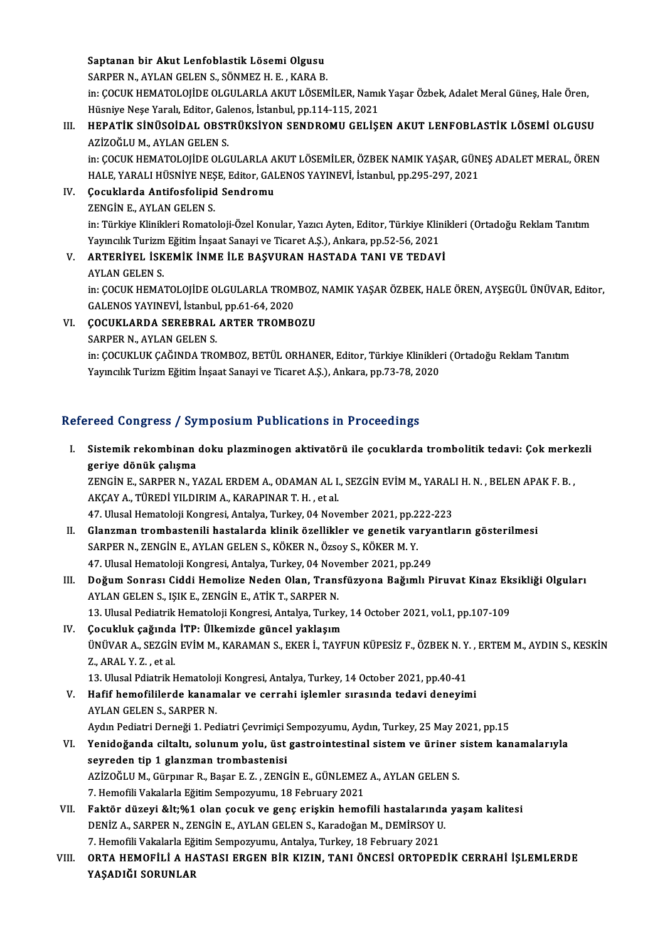Saptanan bir Akut Lenfoblastik Lösemi Olgusu

SARPER N., AYLAN GELEN S., SÖNMEZ H. E., KARA B.

Saptanan bir Akut Lenfoblastik Lösemi Olgusu<br>SARPER N., AYLAN GELEN S., SÖNMEZ H. E. , KARA B.<br>in: ÇOCUK HEMATOLOJİDE OLGULARLA AKUT LÖSEMİLER, Namık Yaşar Özbek, Adalet Meral Güneş, Hale Ören,<br>Hügniye Nese Yaralı Editan C SARPER N., AYLAN GELEN S., SÖNMEZ H. E. , KARA B.<br>in: ÇOCUK HEMATOLOJİDE OLGULARLA AKUT LÖSEMİLER, Namı<br>Hüsniye Neşe Yaralı, Editor, Galenos, İstanbul, pp.114-115, 2021<br>HERATİK SİNÜSOİDAL, OBSTRÜKSİYON SENDROMU GELİSI in: ÇOCUK HEMATOLOJİDE OLGULARLA AKUT LÖSEMİLER, Namık Yaşar Özbek, Adalet Meral Güneş, Hale Ören,<br>Hüsniye Neşe Yaralı, Editor, Galenos, İstanbul, pp.114-115, 2021<br>III. HEPATİK SİNÜSOİDAL OBSTRÜKSİYON SENDROMU GELİŞEN AKUT

## Hüsniye Neşe Yaralı, Editor, Gal<br>HEPATİK SİNÜSOİDAL OBST<br>AZİZOĞLU M., AYLAN GELEN S.<br>in: COCUK HEMATOLOUDE OLC HEPATİK SİNÜSOİDAL OBSTRÜKSİYON SENDROMU GELİŞEN AKUT LENFOBLASTİK LÖSEMİ OLGUSU<br>AZİZOĞLU M., AYLAN GELEN S.<br>in: ÇOCUK HEMATOLOJİDE OLGULARLA AKUT LÖSEMİLER, ÖZBEK NAMIK YAŞAR, GÜNEŞ ADALET MERAL, ÖREN<br>HALE YARALI HÜSNİYE

AZİZOĞLU M., AYLAN GELEN S.<br>in: ÇOCUK HEMATOLOJİDE OLGULARLA AKUT LÖSEMİLER, ÖZBEK NAMIK YAŞAR, GÜN<br>HALE, YARALI HÜSNİYE NEŞE, Editor, GALENOS YAYINEVİ, İstanbul, pp.295-297, 2021<br>Cosuklarda Antifosfalinid Sandromu in: ÇOCUK HEMATOLOJİDE OLGULARLA A<br>HALE, YARALI HÜSNİYE NEŞE, Editor, GAI<br>IV. Cocuklarda Antifosfolipid Sendromu<br>ZENCİN EANIAN CELEN S

## HALE, YARALI HÜSNİYE NEŞ<br>Çocuklarda Antifosfolipid<br>ZENGİN E., AYLAN GELEN S.<br>in: Türkiye Klinikleri Bernate Çocuklarda Antifosfolipid Sendromu<br>ZENGİN E., AYLAN GELEN S.<br>in: Türkiye Klinikleri Romatoloji-Özel Konular, Yazıcı Ayten, Editor, Türkiye Klinikleri (Ortadoğu Reklam Tanıtım<br>Yayıngılık Turizm Fğitim İnsaat Sanayi ve Tisar ZENGİN E., AYLAN GELEN S.<br>in: Türkiye Klinikleri Romatoloji-Özel Konular, Yazıcı Ayten, Editor, Türkiye Klin<br>Yayıncılık Turizm Eğitim İnşaat Sanayi ve Ticaret A.Ş.), Ankara, pp.52-56, 2021<br>ARTERİYEL İSKEMİK İNME İLE RASYUR in: Türkiye Klinikleri Romatoloji-Özel Konular, Yazıcı Ayten, Editor, Türkiye Klini<br>Yayıncılık Turizm Eğitim İnşaat Sanayi ve Ticaret A.Ş.), Ankara, pp.52-56, 2021<br>V. ARTERİYEL İSKEMİK İNME İLE BAŞVURAN HASTADA TANI VE TED

Yayıncılık Turizm<br><mark>ARTERİYEL İSK</mark><br>AYLAN GELEN S.<br>in: COCUV UEMA' ARTERİYEL İSKEMİK İNME İLE BAŞVURAN HASTADA TANI VE TEDAVİ<br>AYLAN GELEN S.<br>in: ÇOCUK HEMATOLOJİDE OLGULARLA TROMBOZ, NAMIK YAŞAR ÖZBEK, HALE ÖREN, AYŞEGÜL ÜNÜVAR, Editor,<br>GALENOS YAYINEVİ, İstanbul pp.61-64-2020 AYLAN GELEN S.<br>in: ÇOCUK HEMATOLOJİDE OLGULARLA TROM<br>GALENOS YAYINEVİ, İstanbul, pp.61-64, 2020<br>COCUKLARDA SERERRAL ARTER TROMBA GALENOS YAYINEVİ, İstanbul, pp.61-64, 2020

## VI. ÇOCUKLARDA SEREBRAL ARTER TROMBOZU<br>SARPER N. AYLAN GELEN S.

in: ÇOCUKLUK ÇAĞINDA TROMBOZ, BETÜL ORHANER, Editor, Türkiye Klinikleri (Ortadoğu Reklam Tanıtım Yayıncılık Turizm Eğitim İnşaat Sanayi ve Ticaret A.Ş.), Ankara, pp.73-78, 2020

## Refereed Congress / Symposium Publications in Proceedings

efereed Congress / Symposium Publications in Proceedings<br>I. Sistemik rekombinan doku plazminogen aktivatörü ile çocuklarda trombolitik tedavi: Çok merkezli<br>Resive dönük selisme Sistemik rekombinan<br>geriye dönük çalışma<br>zencin E. SAPPER N. Y Sistemik rekombinan doku plazminogen aktivatörü ile çocuklarda trombolitik tedavi: Çok merke<br>geriye dönük çalışma<br>ZENGİN E., SARPER N., YAZAL ERDEM A., ODAMAN AL I., SEZGİN EVİM M., YARALI H. N. , BELEN APAK F. B. ,<br>AKCAY

geriye dönük çalışma<br>ZENGİN E., SARPER N., YAZAL ERDEM A., ODAMAN AL I.<br>AKÇAY A., TÜREDİ YILDIRIM A., KARAPINAR T. H. , et al.<br>47. Ulucel Hemateleji Kongresi, Antalya Turkey, 94 Nev ZENGIN E., SARPER N., YAZAL ERDEM A., ODAMAN AL I., SEZGIN EVIM M., YARAL<br>AKÇAY A., TÜREDI YILDIRIM A., KARAPINAR T. H. , et al.<br>47. Ulusal Hematoloji Kongresi, Antalya, Turkey, 04 November 2021, pp.222-223<br>Claramar tramba

- AKÇAY A., TÜREDİ YILDIRIM A., KARAPINAR T. H. , et al.<br>17. Ulusal Hematoloji Kongresi, Antalya, Turkey, 04 November 2021, pp.222-223<br>II. Glanzman trombastenili hastalarda klinik özellikler ve genetik varyantların göste 47. Ulusal Hematoloji Kongresi, Antalya, Turkey, 04 November 2021, pp.2<br>Glanzman trombastenili hastalarda klinik özellikler ve genetik va<br>SARPER N., ZENGİN E., AYLAN GELEN S., KÖKER N., Özsoy S., KÖKER M. Y.<br>47. Ulusal Ham Glanzman trombastenili hastalarda klinik özellikler ve genetik varya<br>SARPER N., ZENGİN E., AYLAN GELEN S., KÖKER N., Özsoy S., KÖKER M. Y.<br>47. Ulusal Hematoloji Kongresi, Antalya, Turkey, 04 November 2021, pp.249<br>Doğum San
- SARPER N., ZENGİN E., AYLAN GELEN S., KÖKER N., Özsoy S., KÖKER M. Y.<br>47. Ulusal Hematoloji Kongresi, Antalya, Turkey, 04 November 2021, pp.249<br>III. Doğum Sonrası Ciddi Hemolize Neden Olan, Transfüzyona Bağımlı Piruvat 47. Ulusal Hematoloji Kongresi, Antalya, Turkey, 04 Nov<br>Doğum Sonrası Ciddi Hemolize Neden Olan, Trans<br>AYLAN GELEN S., IŞIK E., ZENGİN E., ATİK T., SARPER N.<br>13. Ulusal Bodistrik Hamatoloji Kongresi, Antalya Turke Doğum Sonrası Ciddi Hemolize Neden Olan, Transfüzyona Bağımlı Piruvat Kinaz Ek<br>AYLAN GELEN S., IŞIK E., ZENGİN E., ATİK T., SARPER N.<br>13. Ulusal Pediatrik Hematoloji Kongresi, Antalya, Turkey, 14 October 2021, vol.1, pp.10 AYLAN GELEN S., IŞIK E., ZENGİN E., ATİK T., SARPER N.<br>13. Ulusal Pediatrik Hematoloji Kongresi, Antalya, Turkey.<br>IV. Cocukluk çağında İTP: Ülkemizde güncel yaklaşım.<br>ÜNÜVAR A. SEZCİN EVİM M. KARAMAN S. EKER İ. TAYE
- 13. Ulusal Pediatrik Hematoloji Kongresi, Antalya, Turkey, 14 October 2021, vol.1, pp.107-109<br>Çocukluk çağında İTP: Ülkemizde güncel yaklaşım<br>ÜNÜVAR A., SEZGİN EVİM M., KARAMAN S., EKER İ., TAYFUN KÜPESİZ F., ÖZBEK N.Y., E Çocukluk çağında<br>ÜNÜVAR A., SEZGİN<br>Z., ARAL Y. Z. , et al.<br>13. Ulucal Bdiatrik k ÜNÜVAR A., SEZGİN EVİM M., KARAMAN S., EKER İ., TAYFUN KÜPESİZ F., ÖZBEK N. Y<br>Z., ARAL Y. Z. , et al.<br>13. Ulusal Pdiatrik Hematoloji Kongresi, Antalya, Turkey, 14 October 2021, pp.40-41<br>Hafif hemefililerde kanamalar ve ser

V. Hafif hemofililerde kanamalar ve cerrahi işlemler sırasında tedavi deneyimi 13. Ulusal Pdiatrik Hematoloj<br>Hafif hemofililerde kanan<br>AYLAN GELEN S., SARPER N.<br>Aydın Pediatri Derneği 1. Pec Hafif hemofililerde kanamalar ve cerrahi işlemler sırasında tedavi deneyimi<br>AYLAN GELEN S., SARPER N.<br>Aydın Pediatri Derneği 1. Pediatri Çevrimiçi Sempozyumu, Aydın, Turkey, 25 May 2021, pp.15<br>Yenideğende silteltu selunum

- VI. Yenidoğanda ciltaltı, solunum yolu, üst gastrointestinal sistem ve üriner sistem kanamalarıyla<br>seyreden tip 1 glanzman trombastenisi Aydın Pediatri Derneği 1. Pediatri Çevrimiçi !<br>Yenidoğanda ciltaltı, solunum yolu, üst<br>seyreden tip 1 glanzman trombastenisi<br>AZİZOČLUM, Gürnnar B. Basar E.Z., ZENG Yenidoğanda ciltaltı, solunum yolu, üst gastrointestinal sistem ve üriner<br>seyreden tip 1 glanzman trombastenisi<br>AZİZOĞLU M., Gürpınar R., Başar E. Z. , ZENGİN E., GÜNLEMEZ A., AYLAN GELEN S.<br>7 Hamafili Vakalarla Eğitim Som seyreden tip 1 glanzman trombastenisi<br>AZİZOĞLU M., Gürpınar R., Başar E. Z. , ZENGİN E., GÜNLEMEZ<br>7. Hemofili Vakalarla Eğitim Sempozyumu, 18 February 2021<br>Faktör dünevi &ktûé 1 alan sesuk ve sana ariskin bama
- AZİZOĞLU M., Gürpınar R., Başar E. Z. , ZENGİN E., GÜNLEMEZ A., AYLAN GELEN S.<br>7. Hemofili Vakalarla Eğitim Sempozyumu, 18 February 2021<br>VII. Faktör düzeyi &lt;%1 olan çocuk ve genç erişkin hemofili hastalarında yaşam 7. Hemofili Vakalarla Eğitim Sempozyumu, 18 February 2021<br>Faktör düzeyi &lt;%1 olan çocuk ve genç erişkin hemofili hastalarında<br>DENİZ A., SARPER N., ZENGİN E., AYLAN GELEN S., Karadoğan M., DEMİRSOY U.<br>7. Hemofili Vakalarl Faktör düzeyi <%1 olan çocuk ve genç erişkin hemofili hastalarınd<br>DENİZ A., SARPER N., ZENGİN E., AYLAN GELEN S., Karadoğan M., DEMİRSOY U<br>7. Hemofili Vakalarla Eğitim Sempozyumu, Antalya, Turkey, 18 February 2021<br>OPTA
- DENİZ A., SARPER N., ZENGİN E., AYLAN GELEN S., Karadoğan M., DEMİRSOY U.<br>7. Hemofili Vakalarla Eğitim Sempozyumu, Antalya, Turkey, 18 February 2021<br>VIII. ORTA HEMOFİLİ A HASTASI ERGEN BİR KIZIN, TANI ÖNCESİ ORTOPEDİK 7. Hemofili Vakalarla Eğ<br>ORTA HEMOFİLİ A H*l*<br>YAŞADIĞI SORUNLAR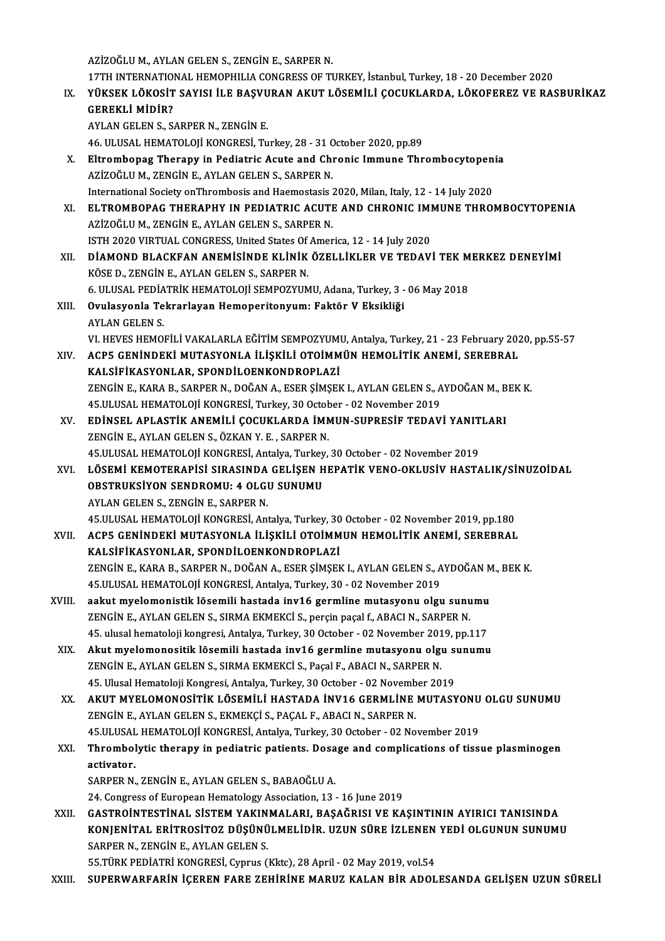AZİZOĞLUM.,AYLANGELENS.,ZENGİNE.,SARPERN.

AZİZOĞLU M., AYLAN GELEN S., ZENGİN E., SARPER N.<br>17TH INTERNATIONAL HEMOPHILIA CONGRESS OF TURKEY, İstanbul, Turkey, 18 - 20 December 2020<br>VÜKSEK I ÖKOSİT SAYISI İLE BASVURAN AKUT I ÖSEMİLİ COCUKLARDA, LÖKOEEREZ VE BAS

AZİZOĞLU M., AYLAN GELEN S., ZENGİN E., SARPER N.<br>17TH INTERNATIONAL HEMOPHILIA CONGRESS OF TURKEY, İstanbul, Turkey, 18 - 20 December 2020<br>IX. YÜKSEK LÖKOSİT SAYISI İLE BAŞVURAN AKUT LÖSEMİLİ ÇOCUKLARDA, LÖKOFEREZ VE 17TH INTERNATIO<br>YÜKSEK LÖKOSİT<br>GEREKLİ MİDİR?<br>AVLAN CELEN S. S. YÜKSEK LÖKOSİT SAYISI İLE BAŞVU<br>GEREKLİ MİDİR?<br>AYLAN GELEN S., SARPER N., ZENGİN E.<br>46 III USAL HEMATOLOU KONCPESI T.. GEREKLİ MİDİR?<br>AYLAN GELEN S., SARPER N., ZENGİN E.<br>46. ULUSAL HEMATOLOJİ KONGRESİ, Turkey, 28 - 31 October 2020, pp.89<br>Eltrambanag Tharany in Badiatris Asuta and Chronis Immuna Thr

- AYLAN GELEN S., SARPER N., ZENGİN E.<br>46. ULUSAL HEMATOLOJİ KONGRESİ, Turkey, 28 31 October 2020, pp.89<br>X. Eltrombopag Therapy in Pediatric Acute and Chronic Immune Thrombocytopenia<br>AZİZOĞLU M. ZENÇİN E. AYLAN CELEN S. SA 46. ULUSAL HEMATOLOJİ KONGRESİ, Turkey, 28 - 31 C<br>Eltrombopag Therapy in Pediatric Acute and Chi<br>AZİZOĞLU M., ZENGİN E., AYLAN GELEN S., SARPER N.<br>International Society on Thrombosis and Haemestasis ( Eltrombopag Therapy in Pediatric Acute and Chronic Immune Thrombocytopen<br>AZİZOĞLU M., ZENGİN E., AYLAN GELEN S., SARPER N.<br>International Society onThrombosis and Haemostasis 2020, Milan, Italy, 12 - 14 July 2020<br>ELTROMBORA AZİZOĞLU M., ZENGİN E., AYLAN GELEN S., SARPER N.<br>International Society on Thrombosis and Haemostasis 2020, Milan, Italy, 12 - 14 July 2020<br>XI. ELTROMBOPAG THERAPHY IN PEDIATRIC ACUTE AND CHRONIC IMMUNE THROMBOCYTOPENIA
- International Society onThrombosis and Haemostasis 2020, Milan, Italy, 12 14 July 2020<br>ELTROMBOPAG THERAPHY IN PEDIATRIC ACUTE AND CHRONIC IMMUNE THRO<br>AZİZOĞLUM., ZENGİN E., AYLAN GELEN S., SARPER N.<br>ISTH 2020 VIRTUAL CO ELTROMBOPAG THERAPHY IN PEDIATRIC ACUTE AND CHRONIC IMI<br>AZİZOĞLU M., ZENGİN E., AYLAN GELEN S., SARPER N.<br>ISTH 2020 VIRTUAL CONGRESS, United States Of America, 12 - 14 July 2020<br>DİAMOND BI ACKEAN ANEMİSİNDE KI İNİK ÖZELLİK AZİZOĞLU M., ZENGİN E., AYLAN GELEN S., SARPER N.<br>ISTH 2020 VIRTUAL CONGRESS, United States Of America, 12 - 14 July 2020<br>XII. DİAMOND BLACKFAN ANEMİSİNDE KLİNİK ÖZELLİKLER VE TEDAVİ TEK MERKEZ DENEYİMİ<br>KÖSE D. ZENCİN E. A
- ISTH 2020 VIRTUAL CONGRESS, United States Of<br>DIAMOND BLACKFAN ANEMISINDE KLINIK<br>KÖSE D., ZENGIN E., AYLAN GELEN S., SARPER N.<br>6. HUSAL PEDIATRIK HEMATOLOU SEMBOZYUM DİAMOND BLACKFAN ANEMİSİNDE KLİNİK ÖZELLİKLER VE TEDAVİ TEK M<br>KÖSE D., ZENGİN E., AYLAN GELEN S., SARPER N.<br>6. ULUSAL PEDİATRİK HEMATOLOJİ SEMPOZYUMU, Adana, Turkey, 3 - 06 May 2018<br>Qıyılaşıyarla Takrarlayan Hamanaritanıyı KÖSE D., ZENGİN E., AYLAN GELEN S., SARPER N.<br>6. ULUSAL PEDİATRİK HEMATOLOJİ SEMPOZYUMU, Adana, Turkey, 3 -<br>XIII. Ovulasyonla Tekrarlayan Hemoperitonyum: Faktör V Eksikliği<br>AVLAN CELEN S
- **6. ULUSAL PEDIA<br>Ovulasyonla Te<br>AYLAN GELEN S.<br>VL UEVES UEMOL** Ovulasyonla Tekrarlayan Hemoperitonyum: Faktör V Eksikliği<br>AYLAN GELEN S.<br>VI. HEVES HEMOFİLİ VAKALARLA EĞİTİM SEMPOZYUMU, Antalya, Turkey, 21 - 23 February 2020, pp.55-57<br>ACRE CENİNDEKİ MUTASYONLA İLİSKİLİ OTOİMMÜN UEMOLİT
- AYLAN GELEN S.<br>VI. HEVES HEMOFİLİ VAKALARLA EĞİTİM SEMPOZYUMU, Antalya, Turkey, 21 23 February 20<br>XIV. ACP5 GENİNDEKİ MUTASYONLA İLİŞKİLİ OTOİMMÜN HEMOLİTİK ANEMİ, SEREBRAL<br>KALSİFİKASYONLAR, SPONDİLOENKONDROPLAZİ VI. HEVES HEMOFİLİ VAKALARLA EĞİTİM SEMPOZYUMI<br>ACP5 GENİNDEKİ MUTASYONLA İLİŞKİLİ OTOİMM<br>KALSİFİKASYONLAR, SPONDİLOENKONDROPLAZİ<br>ZENÇİN E. KARA B. SARRER N. DOĞAN A. ESER SİMSEL ACP5 GENİNDEKİ MUTASYONLA İLİŞKİLİ OTOİMMÜN HEMOLİTİK ANEMİ, SEREBRAL<br>KALSİFİKASYONLAR, SPONDİLOENKONDROPLAZİ<br>ZENGİN E., KARA B., SARPER N., DOĞAN A., ESER ŞİMŞEK I., AYLAN GELEN S., AYDOĞAN M., BEK K.<br>45 III USAL HEMATOLO KALSİFİKASYONLAR, SPONDİLOENKONDROPLAZİ<br>ZENGİN E., KARA B., SARPER N., DOĞAN A., ESER ŞİMŞEK I., AYLAN GELEN S., A<br>45.ULUSAL HEMATOLOJİ KONGRESİ, Turkey, 30 October - 02 November 2019<br>EDİNSEL ARLASTİK ANEMİLİ COCUKLARDA İM ZENGİN E., KARA B., SARPER N., DOĞAN A., ESER ŞİMŞEK I., AYLAN GELEN S., AYDOĞAN M., B<br>45.ULUSAL HEMATOLOJİ KONGRESİ, Turkey, 30 October - 02 November 2019<br>XV. EDİNSEL APLASTİK ANEMİLİ ÇOCUKLARDA İMMUN-SUPRESİF TEDAVİ YANI
- 45.ULUSAL HEMATOLOJİ KONGRESİ, Turkey, 30 Octob<br>EDİNSEL APLASTİK ANEMİLİ ÇOCUKLARDA İMN<br>ZENGİN E., AYLAN GELEN S., ÖZKAN Y. E. , SARPER N.<br>45 III USAL HEMATOLOJİ KONGRESİ, Antalya Turkay. EDİNSEL APLASTİK ANEMİLİ ÇOCUKLARDA İMMUN-SUPRESİF TEDAVİ YANIT<br>ZENGİN E., AYLAN GELEN S., ÖZKAN Y. E. , SARPER N.<br>45.ULUSAL HEMATOLOJİ KONGRESİ, Antalya, Turkey, 30 October - 02 November 2019<br>1 ÖSEMİ KEMOTERARİSİ SIRASIND ZENGİN E., AYLAN GELEN S., ÖZKAN Y. E. , SARPER N.<br>45.ULUSAL HEMATOLOJİ KONGRESİ, Antalya, Turkey, 30 October - 02 November 2019<br>XVI. LÖSEMİ KEMOTERAPİSİ SIRASINDA GELİŞEN HEPATİK VENO-OKLUSİV HASTALIK/SİNUZOİDAL<br>OPSTR
- 45.ULUSAL HEMATOLOJİ KONGRESİ, Antalya, Turkey<br>LÖSEMİ KEMOTERAPİSİ SIRASINDA GELİŞEN H<br>OBSTRUKSİYON SENDROMU: 4 OLGU SUNUMU<br>AYLAN CELEN S. ZENÇİN E. SAPPER N LÖSEMİ KEMOTERAPİSİ SIRASINDA<br>OBSTRUKSİYON SENDROMU: 4 OLGI<br>AYLAN GELEN S., ZENGİN E., SARPER N.<br>45 III USAL HEMATOLOU KONGPESL AR 0BSTRUKSİYON SENDROMU: 4 OLGU SUNUMU<br>AYLAN GELEN S., ZENGİN E., SARPER N.<br>45.ULUSAL HEMATOLOJİ KONGRESİ, Antalya, Turkey, 30 October - 02 November 2019, pp.180<br>ACPE CENİNDEKİ MUTASYONI A İLİSKİLİ OTOİMMUN HEMOLİTİK ANEMİ,

- AYLAN GELEN S., ZENGİN E., SARPER N.<br>45.ULUSAL HEMATOLOJİ KONGRESİ, Antalya, Turkey, 30 October 02 November 2019, pp.180<br>XVII. ACP5 GENİNDEKİ MUTASYONLA İLİŞKİLİ OTOİMMUN HEMOLİTİK ANEMİ, SEREBRAL<br>KALSİFİKASYONLAR, S 45.ULUSAL HEMATOLOJİ KONGRESİ, Antalya, Turkey, 30<br>ACP5 GENİNDEKİ MUTASYONLA İLİŞKİLİ OTOİMM<br>KALSİFİKASYONLAR, SPONDİLOENKONDROPLAZİ<br>ZENÇİN E. KARA B. SARRER N. DOĞAN A. ESER SİMSEL ACP5 GENİNDEKİ MUTASYONLA İLİŞKİLİ OTOİMMUN HEMOLİTİK ANEMİ, SEREBRAL<br>KALSİFİKASYONLAR, SPONDİLOENKONDROPLAZİ<br>ZENGİN E., KARA B., SARPER N., DOĞAN A., ESER ŞİMŞEK I., AYLAN GELEN S., AYDOĞAN M., BEK K.<br>45 III USAL HEMATOLO KALSİFİKASYONLAR, SPONDİLOENKONDROPLAZİ<br>ZENGİN E., KARA B., SARPER N., DOĞAN A., ESER ŞİMŞEK I., AYLAN GELEN S., A<br>45.ULUSAL HEMATOLOJİ KONGRESİ, Antalya, Turkey, 30 - 02 November 2019<br>20lut mualamanistik lösemili bastada
- 45.ULUSAL HEMATOLOJI KONGRESI, Antalya, Turkey, 30 02 November 2019<br>XVIII. aakut myelomonistik lösemili hastada inv16 germline mutasyonu olgu sunumu 45.ULUSAL HEMATOLOJİ KONGRESİ, Antalya, Turkey, 30 - 02 November 2019<br>aakut myelomonistik lösemili hastada inv16 germline mutasyonu olgu sunu<br>ZENGİN E., AYLAN GELEN S., SIRMA EKMEKCİ S., perçin paçal f., ABACI N., SARPER N aakut myelomonistik lõsemili hastada inv16 germline mutasyonu olgu sunumu<br>ZENGİN E., AYLAN GELEN S., SIRMA EKMEKCİ S., perçin paçal f., ABACI N., SARPER N.<br>45. ulusal hematoloji kongresi, Antalya, Turkey, 30 October - 02 N
	- 45. ulusal hematoloji kongresi, Antalya, Turkey, 30 October 02 November 2019, pp.117<br>XIX. Akut myelomonositik lösemili hastada inv16 germline mutasyonu olgu sunumu 45. ulusal hematoloji kongresi, Antalya, Turkey, 30 October - 02 November 201<br>Akut myelomonositik lösemili hastada inv16 germline mutasyonu olgı<br>ZENGİN E., AYLAN GELEN S., SIRMA EKMEKCİ S., Paçal F., ABACI N., SARPER N.<br>45 Akut myelomonositik lösemili hastada inv16 germline mutasyonu olgu s<br>ZENGİN E., AYLAN GELEN S., SIRMA EKMEKCİ S., Paçal F., ABACI N., SARPER N.<br>45. Ulusal Hematoloji Kongresi, Antalya, Turkey, 30 October - 02 November 2019
	- 45. Ulusal Hematoloji Kongresi, Antalya, Turkey, 30 October 02 November 2019<br>XX. AKUT MYELOMONOSİTİK LÖSEMİLİ HASTADA İNV16 GERMLİNE MUTASYONU OLGU SUNUMU ZENGİN E., AYLAN GELEN S., EKMEKÇİ S., PAÇAL F., ABACI N., SARPER N. AKUT MYELOMONOSİTİK LÖSEMİLİ HASTADA İNV16 GERMLİNE MUTASYONU<br>ZENGİN E., AYLAN GELEN S., EKMEKÇİ S., PAÇAL F., ABACI N., SARPER N.<br>45.ULUSAL HEMATOLOJİ KONGRESİ, Antalya, Turkey, 30 October - 02 November 2019<br>Thrombolytis ZENGİN E., AYLAN GELEN S., EKMEKÇİ S., PAÇAL F., ABACI N., SARPER N.<br>45.ULUSAL HEMATOLOJİ KONGRESİ, Antalya, Turkey, 30 October - 02 November 2019<br>XXI. Thrombolytic therapy in pediatric patients. Dosage and complicatio
	- 45.ULUSAL<br>Thrombol<br>activator.<br>SAPPEP N Thrombolytic therapy in pediatric patients. Dosa<br>activator.<br>SARPER N., ZENGİN E., AYLAN GELEN S., BABAOĞLU A.<br>24. Congress of European Hematology Association 12. activator.<br>24. Congress of European Hematology Association, 13 - 16 June 2019<br>24. Congress of European Hematology Association, 13 - 16 June 2019

SARPER N., ZENGİN E., AYLAN GELEN S., BABAOĞLU A.<br>24. Congress of European Hematology Association, 13 - 16 June 2019<br>XXII. 6 GASTROİNTESTİNAL SİSTEM YAKINMALARI, BAŞAĞRISI VE KAŞINTININ AYIRICI TANISINDA 24. Congress of European Hematology Association, 13 - 16 June 2019<br>GASTROİNTESTİNAL SİSTEM YAKINMALARI, BAŞAĞRISI VE KAŞINTININ AYIRICI TANISINDA<br>KONJENİTAL ERİTROSİTOZ DÜŞÜNÜLMELİDİR. UZUN SÜRE İZLENEN YEDİ OLGUNUN SUNUMU GASTROİNTESTİNAL SİSTEM YAKIN<br>KONJENİTAL ERİTROSİTOZ DÜŞÜNÜ<br>SARPER N., ZENGİN E., AYLAN GELEN S.<br>EE TÜPK PEDİATPI KONGPESİ CURIYA KONJENİTAL ERİTROSİTOZ DÜŞÜNÜLMELİDİR. UZUN SÜRE İZLENEN YEDİ OLGUNUN SUNUMU<br>SARPER N., ZENGİN E., AYLAN GELEN S.<br>55.TÜRK PEDİATRİ KONGRESİ, Cyprus (Kktc), 28 April - 02 May 2019, vol.54

XXIII. SUPERWARFARİN İÇEREN FARE ZEHİRİNE MARUZ KALAN BİR ADOLESANDA GELİŞEN UZUN SÜRELİ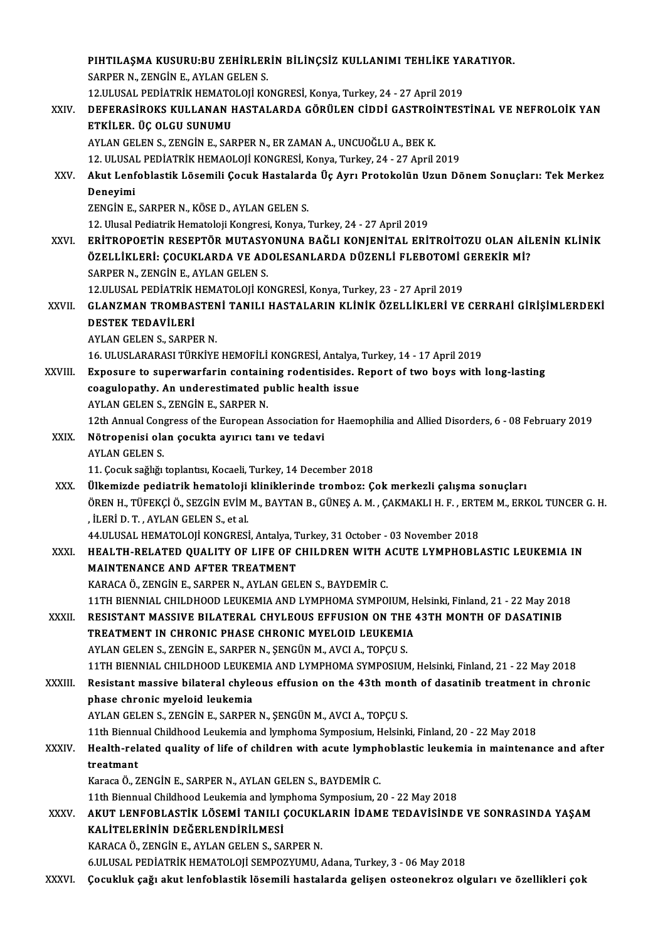|             | PIHTILAŞMA KUSURU:BU ZEHİRLERİN BİLİNÇSİZ KULLANIMI TEHLİKE YARATIYOR.                                                                         |
|-------------|------------------------------------------------------------------------------------------------------------------------------------------------|
|             | SARPER N., ZENGIN E., AYLAN GELEN S.                                                                                                           |
|             | 12.ULUSAL PEDİATRİK HEMATOLOJİ KONGRESİ, Konya, Turkey, 24 - 27 April 2019                                                                     |
| XXIV.       | DEFERASIROKS KULLANAN HASTALARDA GÖRÜLEN CIDDI GASTROINTESTINAL VE NEFROLOIK YAN                                                               |
|             | ETKİLER. ÜÇ OLGU SUNUMU                                                                                                                        |
|             | AYLAN GELEN S., ZENGİN E., SARPER N., ER ZAMAN A., UNCUOĞLU A., BEK K.                                                                         |
|             | 12. ULUSAL PEDİATRİK HEMAOLOJİ KONGRESİ, Konya, Turkey, 24 - 27 April 2019                                                                     |
| XXV.        | Akut Lenfoblastik Lösemili Çocuk Hastalarda Üç Ayrı Protokolün Uzun Dönem Sonuçları: Tek Merkez                                                |
|             | Deneyimi                                                                                                                                       |
|             | ZENGİN E., SARPER N., KÖSE D., AYLAN GELEN S.                                                                                                  |
|             | 12. Ulusal Pediatrik Hematoloji Kongresi, Konya, Turkey, 24 - 27 April 2019                                                                    |
| XXVI.       | ERITROPOETIN RESEPTÖR MUTASYONUNA BAĞLI KONJENITAL ERITROİTOZU OLAN AİLENIN KLINIK                                                             |
|             | ÖZELLİKLERİ: ÇOCUKLARDA VE ADOLESANLARDA DÜZENLİ FLEBOTOMİ GEREKİR Mİ?                                                                         |
|             | SARPER N., ZENGIN E., AYLAN GELEN S.                                                                                                           |
|             | 12.ULUSAL PEDİATRİK HEMATOLOJİ KONGRESİ, Konya, Turkey, 23 - 27 April 2019                                                                     |
| XXVII.      | GLANZMAN TROMBASTENİ TANILI HASTALARIN KLİNİK ÖZELLİKLERİ VE CERRAHİ GİRİŞİMLERDEKİ                                                            |
|             | <b>DESTEK TEDAVILERI</b>                                                                                                                       |
|             | AYLAN GELEN S., SARPER N.                                                                                                                      |
|             | 16. ULUSLARARASI TÜRKİYE HEMOFİLİ KONGRESİ, Antalya, Turkey, 14 - 17 April 2019                                                                |
| XXVIII.     | Exposure to superwarfarin containing rodentisides. Report of two boys with long-lasting<br>coagulopathy. An underestimated public health issue |
|             | AYLAN GELEN S., ZENGIN E., SARPER N.                                                                                                           |
|             | 12th Annual Congress of the European Association for Haemophilia and Allied Disorders, 6 - 08 February 2019                                    |
| XXIX.       | Nötropenisi olan çocukta ayırıcı tanı ve tedavi                                                                                                |
|             | <b>AYLAN GELEN S.</b>                                                                                                                          |
|             | 11. Çocuk sağlığı toplantısı, Kocaeli, Turkey, 14 December 2018                                                                                |
| XXX.        | Ülkemizde pediatrik hematoloji kliniklerinde tromboz: Çok merkezli çalışma sonuçları                                                           |
|             | ÖREN H., TÜFEKÇI Ö., SEZGIN EVIM M., BAYTAN B., GÜNEŞ A. M. , ÇAKMAKLI H. F. , ERTEM M., ERKOL TUNCER G. H.                                    |
|             | İLERİ D. T., AYLAN GELEN S., et al.                                                                                                            |
|             | 44.ULUSAL HEMATOLOJİ KONGRESİ, Antalya, Turkey, 31 October - 03 November 2018                                                                  |
| XXXI.       | HEALTH-RELATED QUALITY OF LIFE OF CHILDREN WITH ACUTE LYMPHOBLASTIC LEUKEMIA IN                                                                |
|             | MAINTENANCE AND AFTER TREATMENT                                                                                                                |
|             | KARACA Ö., ZENGİN E., SARPER N., AYLAN GELEN S., BAYDEMİR C.                                                                                   |
|             | 11TH BIENNIAL CHILDHOOD LEUKEMIA AND LYMPHOMA SYMPOIUM, Helsinki, Finland, 21 - 22 May 2018                                                    |
| XXXII.      | RESISTANT MASSIVE BILATERAL CHYLEOUS EFFUSION ON THE 43TH MONTH OF DASATINIB                                                                   |
|             | TREATMENT IN CHRONIC PHASE CHRONIC MYELOID LEUKEMIA                                                                                            |
|             | AYLAN GELEN S., ZENGİN E., SARPER N., ŞENGÜN M., AVCI A., TOPÇU S.                                                                             |
|             | 11TH BIENNIAL CHILDHOOD LEUKEMIA AND LYMPHOMA SYMPOSIUM, Helsinki, Finland, 21 - 22 May 2018                                                   |
| XXXIII.     | Resistant massive bilateral chyleous effusion on the 43th month of dasatinib treatment in chronic                                              |
|             | phase chronic myeloid leukemia<br>AYLAN GELEN S., ZENGIN E., SARPER N., ŞENGÜN M., AVCI A., TOPÇU S.                                           |
|             | 11th Biennual Childhood Leukemia and lymphoma Symposium, Helsinki, Finland, 20 - 22 May 2018                                                   |
| XXXIV.      | Health-related quality of life of children with acute lymphoblastic leukemia in maintenance and after                                          |
|             | treatmant                                                                                                                                      |
|             | Karaca Ö., ZENGİN E., SARPER N., AYLAN GELEN S., BAYDEMİR C.                                                                                   |
|             | 11th Biennual Childhood Leukemia and lymphoma Symposium, 20 - 22 May 2018                                                                      |
| <b>XXXV</b> | AKUT LENFOBLASTIK LÖSEMI TANILI ÇOCUKLARIN İDAME TEDAVISINDE VE SONRASINDA YAŞAM                                                               |
|             | KALİTELERİNİN DEĞERLENDİRİLMESİ                                                                                                                |
|             | KARACA Ö., ZENGİN E., AYLAN GELEN S., SARPER N.                                                                                                |
|             | 6.ULUSAL PEDİATRİK HEMATOLOJİ SEMPOZYUMU, Adana, Turkey, 3 - 06 May 2018                                                                       |
| XXXVI.      | Çocukluk çağı akut lenfoblastik lösemili hastalarda gelişen osteonekroz olguları ve özellikleri çok                                            |
|             |                                                                                                                                                |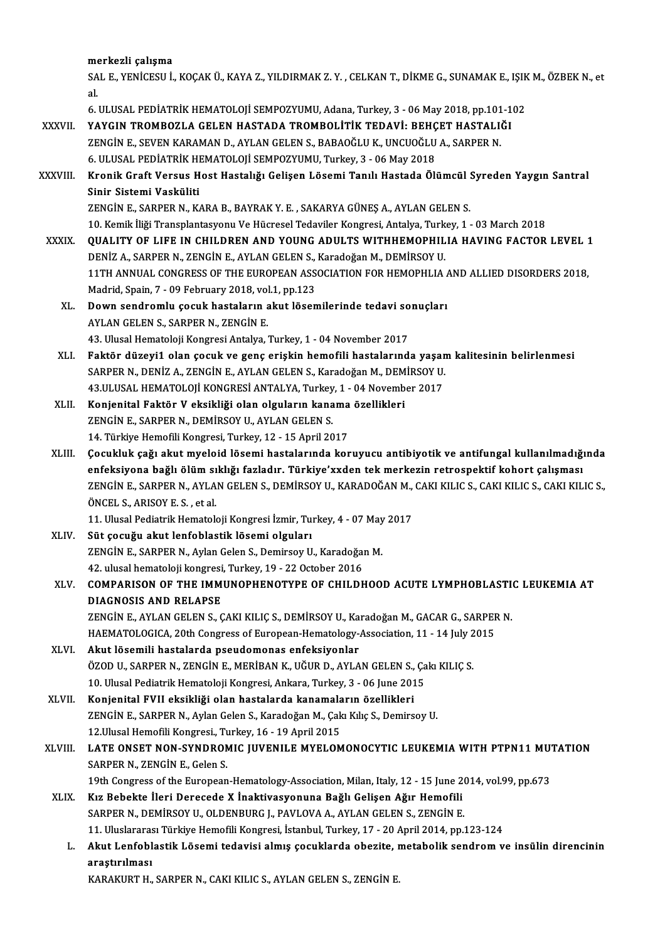merkezli çalışma

merkezli çalışma<br>SAL E., YENİCESU İ., KOÇAK Ü., KAYA Z., YILDIRMAK Z. Y. , CELKAN T., DİKME G., SUNAMAK E., IŞIK M., ÖZBEK N., et me<br>SA<br>al. SAL E., YENİCESU İ., KOÇAK Ü., KAYA Z., YILDIRMAK Z. Y. , CELKAN T., DİKME G., SUNAMAK E., IŞIK<br>al<br>6. ULUSAL PEDİATRİK HEMATOLOJİ SEMPOZYUMU, Adana, Turkey, 3 - 06 May 2018, pp.101-102<br>YAYCIN TROMBOZLA CELEN HASTADA TROMBO

al.<br>6. ULUSAL PEDİATRİK HEMATOLOJİ SEMPOZYUMU, Adana, Turkey, 3 - 06 May 2018, pp.101-102<br>XXXVII. YAYGIN TROMBOZLA GELEN HASTADA TROMBOLİTİK TEDAVİ: BEHÇET HASTALIĞI

- 6. ULUSAL PEDİATRİK HEMATOLOJİ SEMPOZYUMU, Adana, Turkey, 3 06 May 2018, pp.101<br>YAYGIN TROMBOZLA GELEN HASTADA TROMBOLİTİK TEDAVİ: BEHÇET HASTALI<br>ZENGİN E., SEVEN KARAMAN D., AYLAN GELEN S., BABAOĞLU K., UNCUOĞLU A., SAR YAYGIN TROMBOZLA GELEN HASTADA TROMBOLİTİK TEDAVİ: BEHÇ<br>ZENGİN E., SEVEN KARAMAN D., AYLAN GELEN S., BABAOĞLU K., UNCUOĞLU<br>6. ULUSAL PEDİATRİK HEMATOLOJİ SEMPOZYUMU, Turkey, 3 - 06 May 2018<br>Kranik Craft Vareys Hast Hastalı 6. ULUSAL PEDİATRİK HEMATOLOJİ SEMPOZYUMU, Turkey, 3 - 06 May 2018
- XXXVIII. Kronik Graft Versus Host Hastalığı Gelişen Lösemi Tanılı Hastada Ölümcül Syreden Yaygın Santral<br>Sinir Sistemi Vasküliti ZENGİN E., SARPER N., KARA B., BAYRAK Y. E., SAKARYA GÜNEŞ A., AYLAN GELEN S. Sinir Sistemi Vasküliti<br>ZENGİN E., SARPER N., KARA B., BAYRAK Y. E. , SAKARYA GÜNEŞ A., AYLAN GELEN S.<br>10. Kemik İliği Transplantasyonu Ve Hücresel Tedaviler Kongresi, Antalya, Turkey, 1 - 03 March 2018<br>QUALITY OF LIEE IN

- XXXIX. QUALITY OF LIFE IN CHILDREN AND YOUNG ADULTS WITHHEMOPHILIA HAVING FACTOR LEVEL 1<br>DENIZ A., SARPER N., ZENGIN E., AYLAN GELEN S., Karadoğan M., DEMIRSOY U. 10. Kemik İliği Transplantasyonu Ve Hücresel Tedaviler Kongresi, Antalya, Turk<br>QUALITY OF LIFE IN CHILDREN AND YOUNG ADULTS WITHHEMOPHIL<br>DENİZ A., SARPER N., ZENGİN E., AYLAN GELEN S., Karadoğan M., DEMİRSOY U.<br>11TH ANNUAL 11TH ANNUAL CONGRESS OF THE EUROPEAN ASSOCIATION FOR HEMOPHLIA AND ALLIED DISORDERS 2018, DENİZ A., SARPER N., ZENGİN E., AYLAN GELEN S.,<br>11TH ANNUAL CONGRESS OF THE EUROPEAN ASS<br>Madrid, Spain, 7 - 09 February 2018, vol.1, pp.123<br>Down sandromlu sasuk bastaların akut lösen 11TH ANNUAL CONGRESS OF THE EUROPEAN ASSOCIATION FOR HEMOPHLIA A<br>Madrid, Spain, 7 - 09 February 2018, vol.1, pp.123<br>XL. Down sendromlu çocuk hastaların akut lösemilerinde tedavi sonuçları<br>AVLAN CELEN S. SARRER N. ZENCİN E
	- Madrid, Spain, 7 09 February 2018, vol<br>Down sendromlu çocuk hastaların a<br>AYLAN GELEN S., SARPER N., ZENGİN E.<br>43 Hlucel Hemateleji Kongresi Antalya ( Down sendromlu çocuk hastaların akut lösemilerinde tedavi so<br>AYLAN GELEN S., SARPER N., ZENGİN E.<br>43. Ulusal Hematoloji Kongresi Antalya, Turkey, 1 - 04 November 2017<br>Felttär dürevil elen sosuk ve sens eriskin hemefili has AYLAN GELEN S., SARPER N., ZENGİN E.<br>43. Ulusal Hematoloji Kongresi Antalya, Turkey, 1 - 04 November 2017<br>XLI. Faktör düzeyi1 olan çocuk ve genç erişkin hemofili hastalarında yaşam kalitesinin belirlenmesi
	- 43. Ulusal Hematoloji Kongresi Antalya, Turkey, 1 04 November 2017<br>Faktör düzeyi1 olan çocuk ve genç erişkin hemofili hastalarında yaşar<br>SARPER N., DENİZ A., ZENGİN E., AYLAN GELEN S., Karadoğan M., DEMİRSOY U.<br>42 ULUSAL Faktör düzeyi1 olan çocuk ve genç erişkin hemofili hastalarında yaşar<br>SARPER N., DENİZ A., ZENGİN E., AYLAN GELEN S., Karadoğan M., DEMİRSOY U.<br>43.ULUSAL HEMATOLOJİ KONGRESİ ANTALYA, Turkey, 1 - 04 November 2017<br>Kanianital SARPER N., DENİZ A., ZENGİN E., AYLAN GELEN S., Karadoğan M., DEM<br>43.ULUSAL HEMATOLOJİ KONGRESİ ANTALYA, Turkey, 1 - 04 Novemb<br>XLII. Konjenital Faktör V eksikliği olan olguların kanama özellikleri<br>7ENCİN E. SARRER N. DEMİR
	- 43.ULUSAL HEMATOLOJİ KONGRESİ ANTALYA, Turkey, 1 04 November 2017<br>Konjenital Faktör V eksikliği olan olguların kanama özellikleri<br>ZENGİN E., SARPER N., DEMİRSOY U., AYLAN GELEN S. 14. Türkiye Hemofili Kongresi, Turkey, 12 - 15 April 2017
	- XENGİN E., SARPER N., DEMİRSOY U., AYLAN GELEN S.<br>14. Türkiye Hemofili Kongresi, Turkey, 12 15 April 2017<br>XLIII. Cocukluk çağı akut myeloid lösemi hastalarında koruyucu antibiyotik ve antifungal kullanılmadığında<br>Anfaksi 14. Türkiye Hemofili Kongresi, Turkey, 12 - 15 April 2017<br>Çocukluk çağı akut myeloid lösemi hastalarında koruyucu antibiyotik ve antifungal kullanılmadığı<br>enfeksiyona bağlı ölüm sıklığı fazladır. Türkiye'xxden tek merkezin Çocukluk çağı akut myeloid lösemi hastalarında koruyucu antibiyotik ve antifungal kullanılmadığında<br>enfeksiyona bağlı ölüm sıklığı fazladır. Türkiye'xxden tek merkezin retrospektif kohort çalışması<br>ZENGİN E., SARPER N., AY enfeksiyona bağlı ölüm sıklığı fazladır. Türkiye'xxden tek merkezin retrospektif kohort çalışması<br>ZENGİN E., SARPER N., AYLAN GELEN S., DEMİRSOY U., KARADOĞAN M., CAKI KILIC S., CAKI KILIC S., CAKI KILIC S.,<br>ÖNCEL S., ARIS ZENGİN E., SARPER N., AYLAN GELEN S., DEMİRSOY U., KARADOĞAN M.,<br>ÖNCEL S., ARISOY E. S. , et al.<br>11. Ulusal Pediatrik Hematoloji Kongresi İzmir, Turkey, 4 - 07 May 2017<br>Süt çocuğu olut lanfablastik lösemi olayıları

XLIV. Süt çocuğu akut lenfoblastik lösemi olguları 11. Ulusal Pediatrik Hematoloji Kongresi İzmir, Turkey, 4 - 07 May<br>Süt çocuğu akut lenfoblastik lösemi olguları<br>ZENGİN E., SARPER N., Aylan Gelen S., Demirsoy U., Karadoğan M.<br>42. ulusal hemateleji kongresi Turkey, 19., 22 Süt çocuğu akut lenfoblastik lösemi olguları<br>ZENGİN E., SARPER N., Aylan Gelen S., Demirsoy U., Karadoğa<br>42. ulusal hematoloji kongresi, Turkey, 19 - 22 October 2016<br>COMBARISON OF TUE IMMINOPUENOTVRE OF CUU DL

## XLV. COMPARISON OF THE IMMUNOPHENOTYPE OF CHILDHOOD ACUTE LYMPHOBLASTIC LEUKEMIA AT<br>DIAGNOSIS AND RELAPSE 42. ulusal hematoloji kongresi<br>COMPARISON OF THE IMM<br>DIAGNOSIS AND RELAPSE<br>ZENCIN E AVLAN CELEN S-C COMPARISON OF THE IMMUNOPHENOTYPE OF CHILDHOOD ACUTE LYMPHOBLASTI<br>DIAGNOSIS AND RELAPSE<br>ZENGIN E., AYLAN GELEN S., ÇAKI KILIÇ S., DEMIRSOY U., Karadoğan M., GACAR G., SARPER N.<br>HAEMATOLOGICA, 20th Congress of European Hama

DIAGNOSIS AND RELAPSE<br>ZENGİN E., AYLAN GELEN S., ÇAKI KILIÇ S., DEMİRSOY U., Karadoğan M., GACAR G., SARPEF<br>HAEMATOLOGICA, 20th Congress of European-Hematology-Association, 11 - 14 July 2015<br>Akut lögemili hastalarda nasuda ZENGIN E., AYLAN GELEN S., ÇAKI KILIÇ S., DEMIRSOY U., Ka<br>HAEMATOLOGICA, 20th Congress of European-Hematology-<br>XLVI. Akut lösemili hastalarda pseudomonas enfeksiyonlar<br>ÖZOD II. SARRER N. ZENGIN E. MERIRAN K. HĞUR D. AYLA

- HAEMATOLOGICA, 20th Congress of European-Hematology-Association, 11 14 July 2<br>Akut lösemili hastalarda pseudomonas enfeksiyonlar<br>ÖZOD U., SARPER N., ZENGİN E., MERİBAN K., UĞUR D., AYLAN GELEN S., Çakı KILIÇ S.<br>10 Hlucal Akut lösemili hastalarda pseudomonas enfeksiyonlar<br>ÖZOD U., SARPER N., ZENGİN E., MERİBAN K., UĞUR D., AYLAN GELEN S., Ça<br>10. Ulusal Pediatrik Hematoloji Kongresi, Ankara, Turkey, 3 - 06 June 2015<br>Konjenital EVII eksikliği XLVI . Konjenital FVII eksikliği olan hastalarda kanamaların özel ikleri
- 10. Ulusal Pediatrik Hematoloji Kongresi, Ankara, Turkey, 3 06 June 2015<br>**Konjenital FVII eksikliği olan hastalarda kanamaların özellikleri**<br>ZENGİN E., SARPER N., Aylan Gelen S., Karadoğan M., Çakı Kılıç S., Demirsoy U.<br> Konjenital FVII eksikliği olan hastalarda kanamala<br>ZENGİN E., SARPER N., Aylan Gelen S., Karadoğan M., Çak<br>12.Ulusal Hemofili Kongresi., Turkey, 16 - 19 April 2015<br>LATE ONSET NON SYNDROMIC UIVENU E MYELOM ZENGİN E., SARPER N., Aylan Gelen S., Karadoğan M., Çakı Kılıç S., Demirsoy U.<br>12.Ulusal Hemofili Kongresi., Turkey, 16 - 19 April 2015<br>XLVIII. LATE ONSET NON-SYNDROMIC JUVENILE MYELOMONOCYTIC LEUKEMIA WITH PTPN11 MUTA

## 12.Ulusal Hemofili Kongresi., Tu<br>LATE ONSET NON-SYNDRON<br>SARPER N., ZENGİN E., Gelen S. LATE ONSET NON-SYNDROMIC JUVENILE MYELOMONOCYTIC LEUKEMIA WITH PTPN11 MU'<br>SARPER N., ZENGIN E., Gelen S.<br>19th Congress of the European-Hematology-Association, Milan, Italy, 12 - 15 June 2014, vol.99, pp.673<br>Kur Beheltte İl SARPER N., ZENGİN E., Gelen S.<br>19th Congress of the European-Hematology-Association, Milan, Italy, 12 - 15 June 2014, vol.99, pp.673<br>XLIX. Kız Bebekte İleri Derecede X İnaktivasyonuna Bağlı Gelişen Ağır Hemofili

- SARPER N., DEMİRSOY U., OLDENBURG J., PAVLOVA A., AYLAN GELEN S., ZENGİN E. Kız Bebekte İleri Derecede X İnaktivasyonuna Bağlı Gelişen Ağır Hemofili<br>SARPER N., DEMİRSOY U., OLDENBURG J., PAVLOVA A., AYLAN GELEN S., ZENGİN E.<br>11. Uluslararası Türkiye Hemofili Kongresi, İstanbul, Turkey, 17 - 20 Apr
	- L. Akut Lenfoblastik Lösemi tedavisi almış çocuklarda obezite, metabolik sendrom ve insülin direncinin araştırılması 11. Uluslararas<br><mark>Akut Lenfobl</mark><br>araştırılması<br>KARAKURT H

KARAKURTH., SARPERN., CAKI KILIC S., AYLAN GELENS., ZENGİN E.